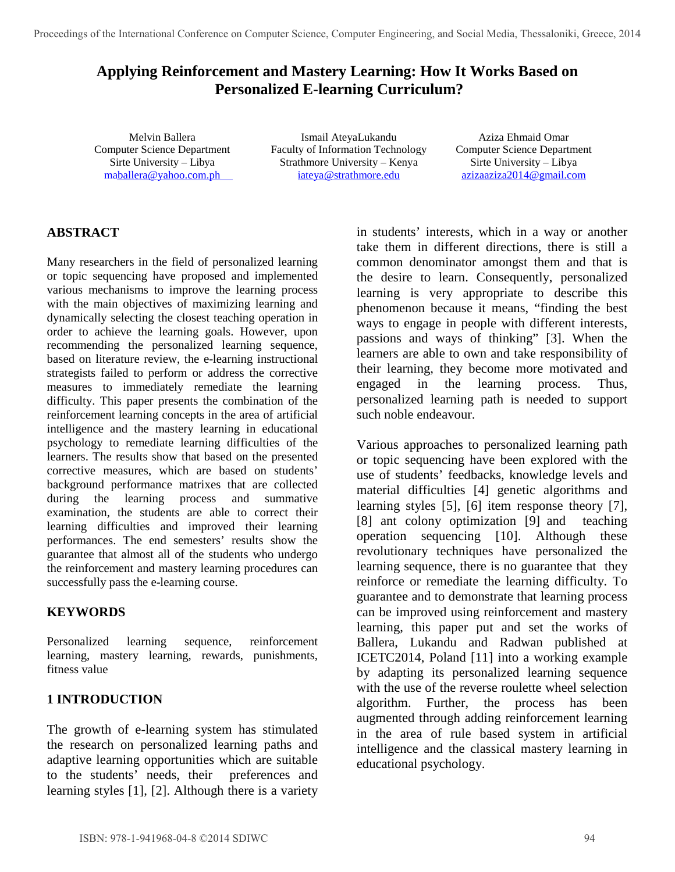# **Applying Reinforcement and Mastery Learning: How It Works Based on Personalized E-learning Curriculum?**

Melvin Ballera Computer Science Department Sirte University – Libya m[aballera@yahoo.com.ph](mailto:maballera@yahoo.com.ph)

Ismail AteyaLukandu Faculty of Information Technology Strathmore University – Kenya [iateya@strathmore.edu](mailto:iateya@strathmore.edu)

Aziza Ehmaid Omar Computer Science Department Sirte University – Libya [azizaaziza2014@gmail.com](mailto:azizaaziza2014@gmail.com)

## **ABSTRACT**

Many researchers in the field of personalized learning or topic sequencing have proposed and implemented various mechanisms to improve the learning process with the main objectives of maximizing learning and dynamically selecting the closest teaching operation in order to achieve the learning goals. However, upon recommending the personalized learning sequence, based on literature review, the e-learning instructional strategists failed to perform or address the corrective measures to immediately remediate the learning difficulty. This paper presents the combination of the reinforcement learning concepts in the area of artificial intelligence and the mastery learning in educational psychology to remediate learning difficulties of the learners. The results show that based on the presented corrective measures, which are based on students' background performance matrixes that are collected during the learning process and summative examination, the students are able to correct their learning difficulties and improved their learning performances. The end semesters' results show the guarantee that almost all of the students who undergo the reinforcement and mastery learning procedures can successfully pass the e-learning course.

#### **KEYWORDS**

Personalized learning sequence, reinforcement learning, mastery learning, rewards, punishments, fitness value

## **1 INTRODUCTION**

The growth of e-learning system has stimulated the research on personalized learning paths and adaptive learning opportunities which are suitable to the students' needs, their preferences and learning styles [1], [2]. Although there is a variety

in students' interests, which in a way or another take them in different directions, there is still a common denominator amongst them and that is the desire to learn. Consequently, personalized learning is very appropriate to describe this phenomenon because it means, "finding the best ways to engage in people with different interests, passions and ways of thinking" [3]. When the learners are able to own and take responsibility of their learning, they become more motivated and engaged in the learning process. Thus, personalized learning path is needed to support such noble endeavour.

Various approaches to personalized learning path or topic sequencing have been explored with the use of students' feedbacks, knowledge levels and material difficulties [4] genetic algorithms and learning styles [5], [6] item response theory [7], [8] ant colony optimization [9] and teaching operation sequencing [10]. Although these revolutionary techniques have personalized the learning sequence, there is no guarantee that they reinforce or remediate the learning difficulty. To guarantee and to demonstrate that learning process can be improved using reinforcement and mastery learning, this paper put and set the works of Ballera, Lukandu and Radwan published at ICETC2014, Poland [11] into a working example by adapting its personalized learning sequence with the use of the reverse roulette wheel selection algorithm. Further, the process has been augmented through adding reinforcement learning in the area of rule based system in artificial intelligence and the classical mastery learning in educational psychology.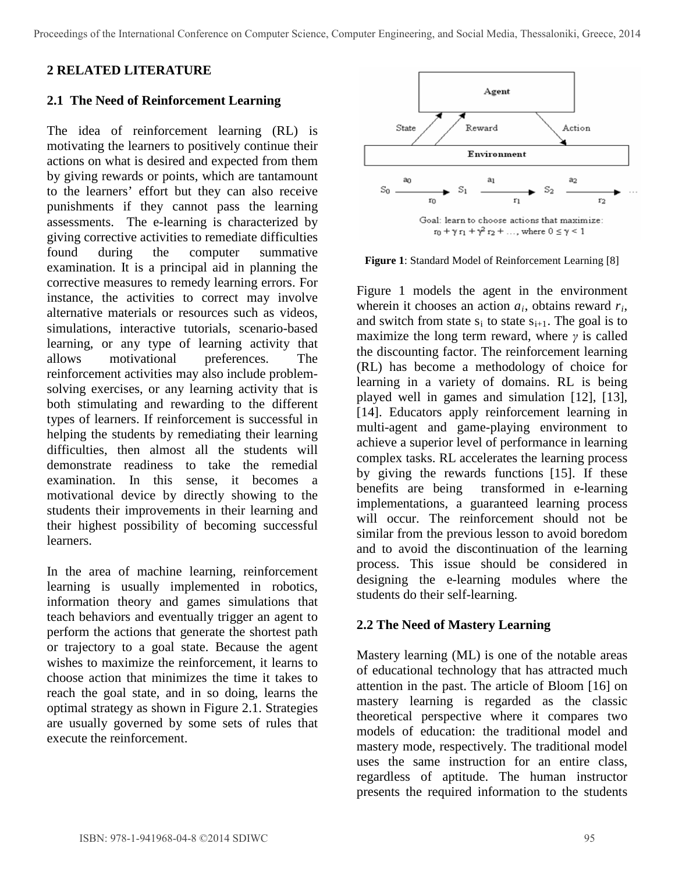### **2 RELATED LITERATURE**

#### **2.1 The Need of Reinforcement Learning**

The idea of reinforcement learning (RL) is motivating the learners to positively continue their actions on what is desired and expected from them by giving rewards or points, which are tantamount to the learners' effort but they can also receive punishments if they cannot pass the learning assessments. The e-learning is characterized by giving corrective activities to remediate difficulties found during the computer summative examination. It is a principal aid in planning the corrective measures to remedy learning errors. For instance, the activities to correct may involve alternative materials or resources such as videos, simulations, interactive tutorials, scenario-based learning, or any type of learning activity that allows motivational preferences. The reinforcement activities may also include problemsolving exercises, or any learning activity that is both stimulating and rewarding to the different types of learners. If reinforcement is successful in helping the students by remediating their learning difficulties, then almost all the students will demonstrate readiness to take the remedial examination. In this sense, it becomes a motivational device by directly showing to the students their improvements in their learning and their highest possibility of becoming successful learners.

In the area of machine learning, reinforcement learning is usually implemented in robotics, information theory and games simulations that teach behaviors and eventually trigger an agent to perform the actions that generate the shortest path or trajectory to a goal state. Because the agent wishes to maximize the reinforcement, it learns to choose action that minimizes the time it takes to reach the goal state, and in so doing, learns the optimal strategy as shown in Figure 2.1. Strategies are usually governed by some sets of rules that execute the reinforcement.



**Figure 1**: Standard Model of Reinforcement Learning [8]

Figure 1 models the agent in the environment wherein it chooses an action *ai*, obtains reward *ri*, and switch from state  $s_i$  to state  $s_{i+1}$ . The goal is to maximize the long term reward, where *γ* is called the discounting factor. The reinforcement learning (RL) has become a methodology of choice for learning in a variety of domains. RL is being played well in games and simulation [12], [13], [14]. Educators apply reinforcement learning in multi-agent and game-playing environment to achieve a superior level of performance in learning complex tasks. RL accelerates the learning process by giving the rewards functions [15]. If these benefits are being transformed in e-learning implementations, a guaranteed learning process will occur. The reinforcement should not be similar from the previous lesson to avoid boredom and to avoid the discontinuation of the learning process. This issue should be considered in designing the e-learning modules where the students do their self-learning.

#### **2.2 The Need of Mastery Learning**

Mastery learning (ML) is one of the notable areas of educational technology that has attracted much attention in the past. The article of Bloom [16] on mastery learning is regarded as the classic theoretical perspective where it compares two models of education: the traditional model and mastery mode, respectively. The traditional model uses the same instruction for an entire class, regardless of aptitude. The human instructor presents the required information to the students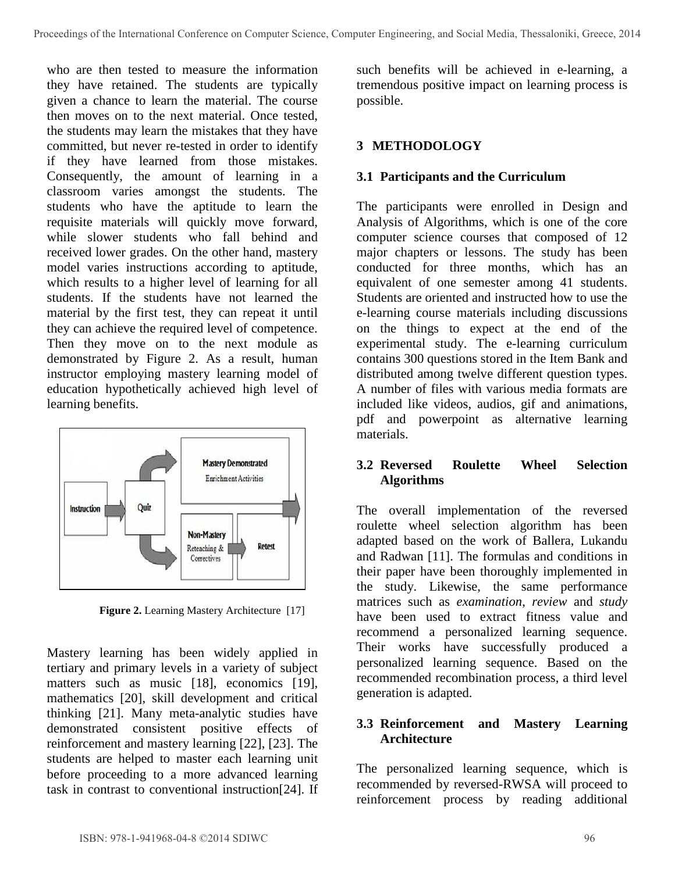who are then tested to measure the information they have retained. The students are typically given a chance to learn the material. The course then moves on to the next material. Once tested, the students may learn the mistakes that they have committed, but never re-tested in order to identify if they have learned from those mistakes. Consequently, the amount of learning in a classroom varies amongst the students. The students who have the aptitude to learn the requisite materials will quickly move forward, while slower students who fall behind and received lower grades. On the other hand, mastery model varies instructions according to aptitude, which results to a higher level of learning for all students. If the students have not learned the material by the first test, they can repeat it until they can achieve the required level of competence. Then they move on to the next module as demonstrated by Figure 2. As a result, human instructor employing mastery learning model of education hypothetically achieved high level of learning benefits.



**Figure 2.** Learning Mastery Architecture [17]

Mastery learning has been widely applied in tertiary and primary levels in a variety of subject matters such as music [18], economics [19], mathematics [20], skill development and critical thinking [21]. Many meta-analytic studies have demonstrated consistent positive effects of reinforcement and mastery learning [22], [23]. The students are helped to master each learning unit before proceeding to a more advanced learning task in contrast to conventional instruction[24]. If

such benefits will be achieved in e-learning, a tremendous positive impact on learning process is possible.

### **3 METHODOLOGY**

### **3.1 Participants and the Curriculum**

The participants were enrolled in Design and Analysis of Algorithms, which is one of the core computer science courses that composed of 12 major chapters or lessons. The study has been conducted for three months, which has an equivalent of one semester among 41 students. Students are oriented and instructed how to use the e-learning course materials including discussions on the things to expect at the end of the experimental study. The e-learning curriculum contains 300 questions stored in the Item Bank and distributed among twelve different question types. A number of files with various media formats are included like videos, audios, gif and animations, pdf and powerpoint as alternative learning materials.

#### **3.2 Reversed Roulette Wheel Selection Algorithms**

The overall implementation of the reversed roulette wheel selection algorithm has been adapted based on the work of Ballera, Lukandu and Radwan [11]. The formulas and conditions in their paper have been thoroughly implemented in the study. Likewise, the same performance matrices such as *examination*, *review* and *study*  have been used to extract fitness value and recommend a personalized learning sequence. Their works have successfully produced a personalized learning sequence. Based on the recommended recombination process, a third level generation is adapted.

#### **3.3 Reinforcement and Mastery Learning Architecture**

The personalized learning sequence, which is recommended by reversed-RWSA will proceed to reinforcement process by reading additional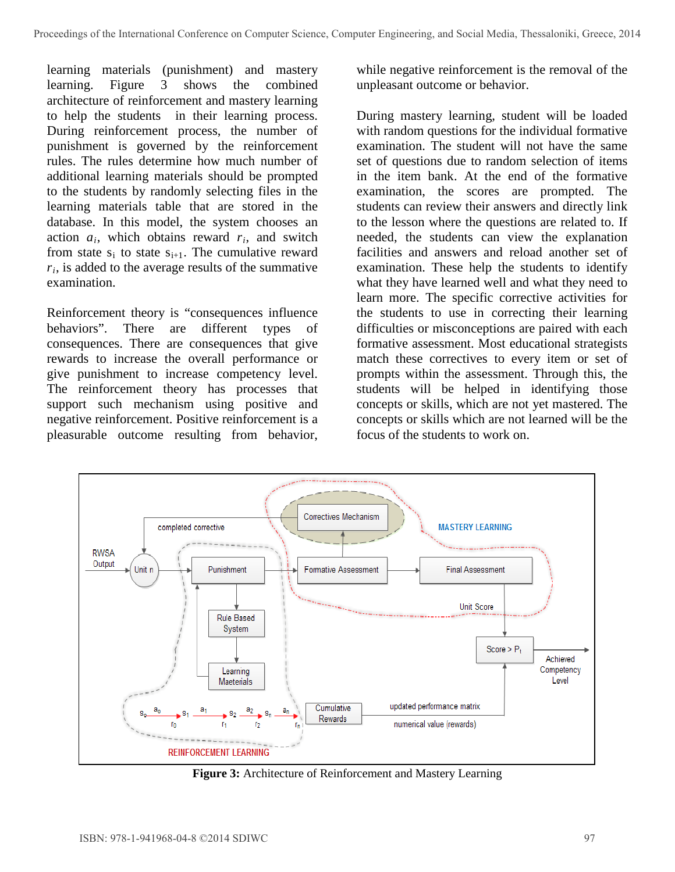learning materials (punishment) and mastery learning. Figure 3 shows the combined architecture of reinforcement and mastery learning to help the students in their learning process. During reinforcement process, the number of punishment is governed by the reinforcement rules. The rules determine how much number of additional learning materials should be prompted to the students by randomly selecting files in the learning materials table that are stored in the database. In this model, the system chooses an action *ai*, which obtains reward *ri*, and switch from state  $s_i$  to state  $s_{i+1}$ . The cumulative reward *ri*, is added to the average results of the summative examination.

Reinforcement theory is "consequences influence behaviors". There are different types of consequences. There are consequences that give rewards to increase the overall performance or give punishment to increase competency level. The reinforcement theory has processes that support such mechanism using positive and negative reinforcement. Positive reinforcement is a pleasurable outcome resulting from behavior,

while negative reinforcement is the removal of the unpleasant outcome or behavior.

During mastery learning, student will be loaded with random questions for the individual formative examination. The student will not have the same set of questions due to random selection of items in the item bank. At the end of the formative examination, the scores are prompted. The students can review their answers and directly link to the lesson where the questions are related to. If needed, the students can view the explanation facilities and answers and reload another set of examination. These help the students to identify what they have learned well and what they need to learn more. The specific corrective activities for the students to use in correcting their learning difficulties or misconceptions are paired with each formative assessment. Most educational strategists match these correctives to every item or set of prompts within the assessment. Through this, the students will be helped in identifying those concepts or skills, which are not yet mastered. The concepts or skills which are not learned will be the focus of the students to work on.



**Figure 3:** Architecture of Reinforcement and Mastery Learning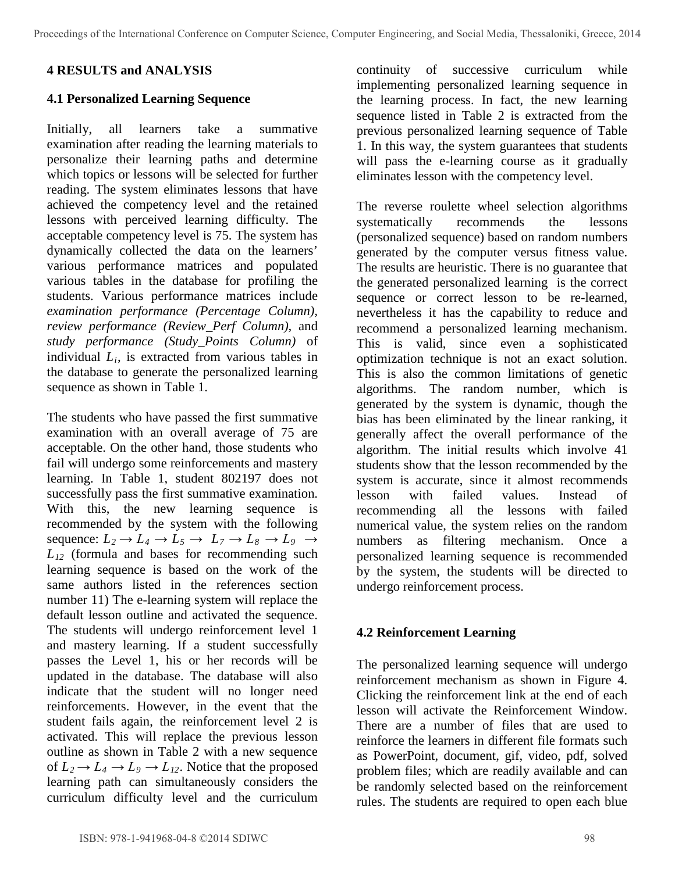### **4 RESULTS and ANALYSIS**

#### **4.1 Personalized Learning Sequence**

Initially, all learners take a summative examination after reading the learning materials to personalize their learning paths and determine which topics or lessons will be selected for further reading. The system eliminates lessons that have achieved the competency level and the retained lessons with perceived learning difficulty. The acceptable competency level is 75. The system has dynamically collected the data on the learners' various performance matrices and populated various tables in the database for profiling the students. Various performance matrices include *examination performance (Percentage Column), review performance (Review\_Perf Column),* and *study performance (Study\_Points Column)* of individual *Li*, is extracted from various tables in the database to generate the personalized learning sequence as shown in Table 1.

The students who have passed the first summative examination with an overall average of 75 are acceptable. On the other hand, those students who fail will undergo some reinforcements and mastery learning. In Table 1, student 802197 does not successfully pass the first summative examination. With this, the new learning sequence is recommended by the system with the following sequence:  $L_2 \rightarrow L_4 \rightarrow L_5 \rightarrow L_7 \rightarrow L_8 \rightarrow L_9 \rightarrow$  $L_{12}$  (formula and bases for recommending such learning sequence is based on the work of the same authors listed in the references section number 11) The e-learning system will replace the default lesson outline and activated the sequence. The students will undergo reinforcement level 1 and mastery learning. If a student successfully passes the Level 1, his or her records will be updated in the database. The database will also indicate that the student will no longer need reinforcements. However, in the event that the student fails again, the reinforcement level 2 is activated. This will replace the previous lesson outline as shown in Table 2 with a new sequence of  $L_2 \rightarrow L_4 \rightarrow L_9 \rightarrow L_{12}$ . Notice that the proposed learning path can simultaneously considers the curriculum difficulty level and the curriculum

continuity of successive curriculum while implementing personalized learning sequence in the learning process. In fact, the new learning sequence listed in Table 2 is extracted from the previous personalized learning sequence of Table 1. In this way, the system guarantees that students will pass the e-learning course as it gradually eliminates lesson with the competency level.

The reverse roulette wheel selection algorithms systematically recommends the lessons (personalized sequence) based on random numbers generated by the computer versus fitness value. The results are heuristic. There is no guarantee that the generated personalized learning is the correct sequence or correct lesson to be re-learned, nevertheless it has the capability to reduce and recommend a personalized learning mechanism. This is valid, since even a sophisticated optimization technique is not an exact solution. This is also the common limitations of genetic algorithms. The random number, which is generated by the system is dynamic, though the bias has been eliminated by the linear ranking, it generally affect the overall performance of the algorithm. The initial results which involve 41 students show that the lesson recommended by the system is accurate, since it almost recommends lesson with failed values. Instead of recommending all the lessons with failed numerical value, the system relies on the random numbers as filtering mechanism. Once a personalized learning sequence is recommended by the system, the students will be directed to undergo reinforcement process.

#### **4.2 Reinforcement Learning**

The personalized learning sequence will undergo reinforcement mechanism as shown in Figure 4. Clicking the reinforcement link at the end of each lesson will activate the Reinforcement Window. There are a number of files that are used to reinforce the learners in different file formats such as PowerPoint, document, gif, video, pdf, solved problem files; which are readily available and can be randomly selected based on the reinforcement rules. The students are required to open each blue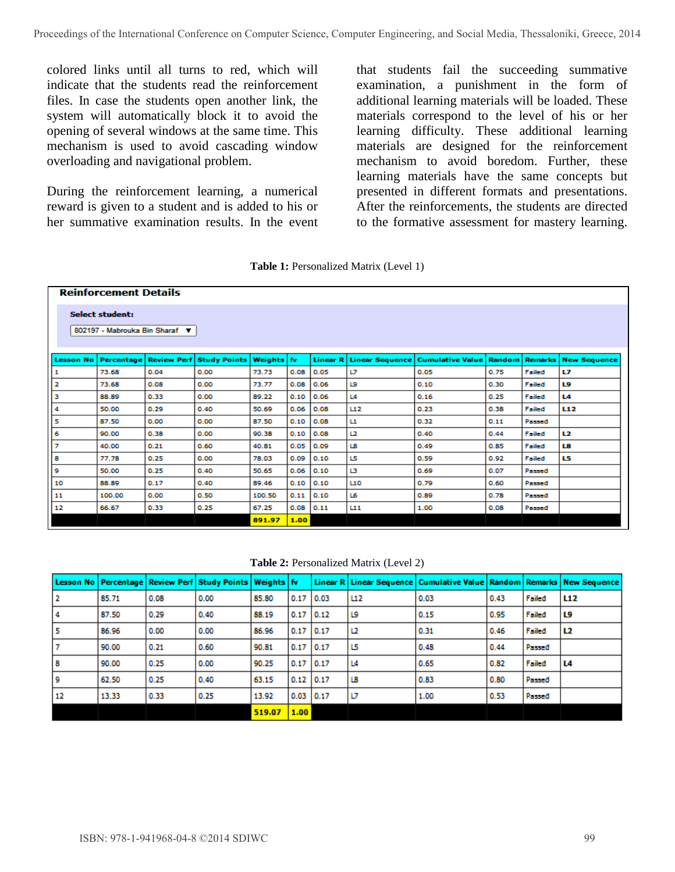colored links until all turns to red, which will indicate that the students read the reinforcement files. In case the students open another link, the system will automatically block it to avoid the opening of several windows at the same time. This mechanism is used to avoid cascading window overloading and navigational problem.

During the reinforcement learning, a numerical reward is given to a student and is added to his or her summative examination results. In the event that students fail the succeeding summative examination, a punishment in the form of additional learning materials will be loaded. These materials correspond to the level of his or her learning difficulty. These additional learning materials are designed for the reinforcement mechanism to avoid boredom. Further, these learning materials have the same concepts but presented in different formats and presentations. After the reinforcements, the students are directed to the formative assessment for mastery learning.

|  | Table 1: Personalized Matrix (Level 1) |  |  |  |
|--|----------------------------------------|--|--|--|
|--|----------------------------------------|--|--|--|

|                                                          | <b>Reinforcement Details</b> |                    |                     |                |       |                     |     |                                           |               |                |                     |  |
|----------------------------------------------------------|------------------------------|--------------------|---------------------|----------------|-------|---------------------|-----|-------------------------------------------|---------------|----------------|---------------------|--|
| <b>Select student:</b><br>802197 - Mabrouka Bin Sharaf ▼ |                              |                    |                     |                |       |                     |     |                                           |               |                |                     |  |
| <b>Lesson No.</b>                                        | Percentage                   | <b>Review Perf</b> | <b>Study Points</b> | <b>Weights</b> | l fv. | Linear <sub>R</sub> |     | <b>Linear Sequence   Cumulative Value</b> | <b>Random</b> | <b>Remarks</b> | <b>New Sequence</b> |  |
| 1                                                        | 73.68                        | 0.04               | 0.00                | 73.73          | 0.08  | 0.05                | IJ  | 0.05                                      | 0.75          | Failed         | L7                  |  |
| 2                                                        | 73.68                        | 0.08               | 0.00                | 73.77          | 0.08  | 0.06                | L9  | 0.10                                      | 0.30          | Failed         | L9                  |  |
| з                                                        | 88.89                        | 0.33               | 0.00                | 89.22          | 0.10  | 0.06                | L4  | 0.16                                      | 0.25          | Failed         | L4                  |  |
| 4                                                        | 50.00                        | 0.29               | 0.40                | 50.69          | 0.06  | 0.08                | L12 | 0.23                                      | 0.38          | Failed         | L12                 |  |
| 5                                                        | 87.50                        | 0.00               | 0.00                | 87.50          | 0.10  | 0.08                | L1  | 0.32                                      | 0.11          | Passed         |                     |  |
| 6                                                        | 90.00                        | 0.38               | 0.00                | 90.38          | 0.10  | 0.08                | 12  | 0.40                                      | 0.44          | Failed         | L2                  |  |
| 7                                                        | 40.00                        | 0.21               | 0.60                | 40.81          | 0.05  | 0.09                | LB  | 0.49                                      | 0.85          | Failed         | L8                  |  |
| 8                                                        | 77.78                        | 0.25               | 0.00                | 78.03          | 0.09  | 0.10                | L5  | 0.59                                      | 0.92          | Failed         | L5                  |  |
| 9                                                        | 50.00                        | 0.25               | 0.40                | 50.65          | 0.06  | 0.10                | в   | 0.69                                      | 0.07          | Passed         |                     |  |
| 10                                                       | 88.89                        | 0.17               | 0.40                | 89.46          | 0.10  | 0.10                | L10 | 0.79                                      | 0.60          | Passed         |                     |  |
| 11                                                       | 100.00                       | 0.00               | 0.50                | 100.50         | 0.11  | 0.10                | L6  | 0.89                                      | 0.78          | Passed         |                     |  |
| 12                                                       | 66.67                        | 0.33               | 0.25                | 67.25          | 0.08  | 0.11                | L11 | 1.00                                      | 0.08          | Passed         |                     |  |
|                                                          |                              |                    |                     | 891.97         | 1.00  |                     |     |                                           |               |                |                     |  |

**Table 2:** Personalized Matrix (Level 2)

|     |       |      | Lesson No   Percentage   Review Perf   Study Points   Weights   fv |        |             |     | Linear R   Linear Sequence   Cumulative Value   Random   Remarks   New Sequence |      |        |                 |
|-----|-------|------|--------------------------------------------------------------------|--------|-------------|-----|---------------------------------------------------------------------------------|------|--------|-----------------|
| 12  | 85.71 | 0.08 | 0.00                                                               | 85.80  | $0.17$ 0.03 | L12 | 0.03                                                                            | 0.43 | Failed | L <sub>12</sub> |
| 14  | 87.50 | 0.29 | 0.40                                                               | 88.19  | $0.17$ 0.12 | L9  | 0.15                                                                            | 0.95 | Failed | L9              |
| 15  | 86.96 | 0.00 | 0.00                                                               | 86.96  | $0.17$ 0.17 | 12  | 0.31                                                                            | 0.46 | Failed | l L2            |
|     | 90.00 | 0.21 | 0.60                                                               | 90.81  | $0.17$ 0.17 | 15  | 0.48                                                                            | 0.44 | Passed |                 |
| 8   | 90.00 | 0.25 | 0.00                                                               | 90.25  | $0.17$ 0.17 | L4  | 0.65                                                                            | 0.82 | Failed | L4              |
| l 9 | 62.50 | 0.25 | 0.40                                                               | 63.15  | $0.12$ 0.17 | LB  | 0.83                                                                            | 0.80 | Passed |                 |
| 12  | 13.33 | 0.33 | 0.25                                                               | 13.92  | $0.03$ 0.17 | IJ  | 1.00                                                                            | 0.53 | Passed |                 |
|     |       |      |                                                                    | 519.07 | 1.00        |     |                                                                                 |      |        |                 |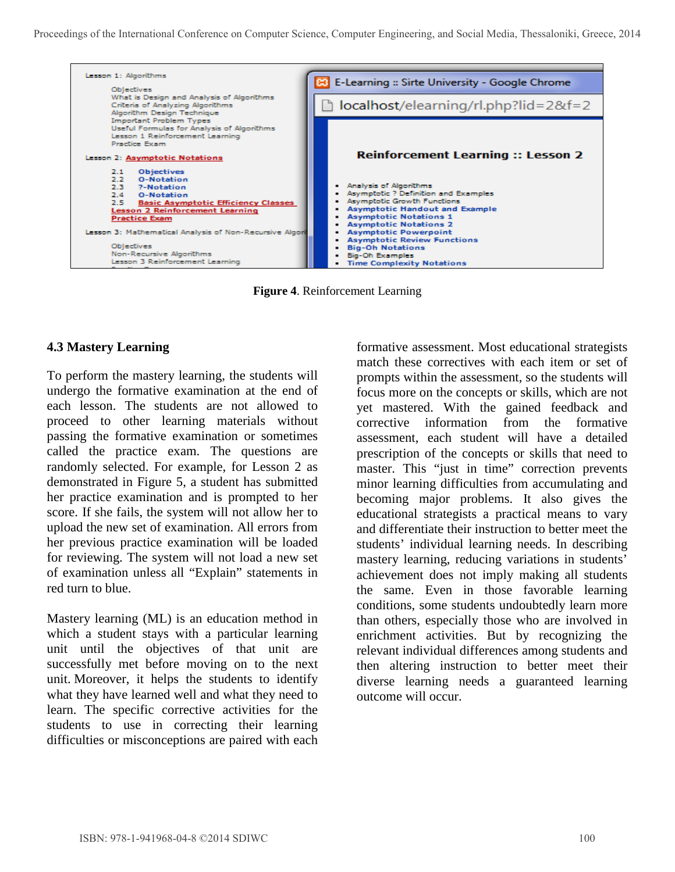

**Figure 4**. Reinforcement Learning

### **4.3 Mastery Learning**

To perform the mastery learning, the students will undergo the formative examination at the end of each lesson. The students are not allowed to proceed to other learning materials without passing the formative examination or sometimes called the practice exam. The questions are randomly selected. For example, for Lesson 2 as demonstrated in Figure 5, a student has submitted her practice examination and is prompted to her score. If she fails, the system will not allow her to upload the new set of examination. All errors from her previous practice examination will be loaded for reviewing. The system will not load a new set of examination unless all "Explain" statements in red turn to blue.

Mastery learning (ML) is an education method in which a student stays with a particular learning unit until the objectives of that unit are successfully met before moving on to the next unit. Moreover, it helps the students to identify what they have learned well and what they need to learn. The specific corrective activities for the students to use in correcting their learning difficulties or misconceptions are paired with each

formative assessment. Most educational strategists match these correctives with each item or set of prompts within the assessment, so the students will focus more on the concepts or skills, which are not yet mastered. With the gained feedback and corrective information from the formative assessment, each student will have a detailed prescription of the concepts or skills that need to master. This "just in time" correction prevents minor learning difficulties from accumulating and becoming major problems. It also gives the educational strategists a practical means to vary and differentiate their instruction to better meet the students' individual learning needs. In describing mastery learning, reducing variations in students' achievement does not imply making all students the same. Even in those favorable learning conditions, some students undoubtedly learn more than others, especially those who are involved in enrichment activities. But by recognizing the relevant individual differences among students and then altering instruction to better meet their diverse learning needs a guaranteed learning outcome will occur.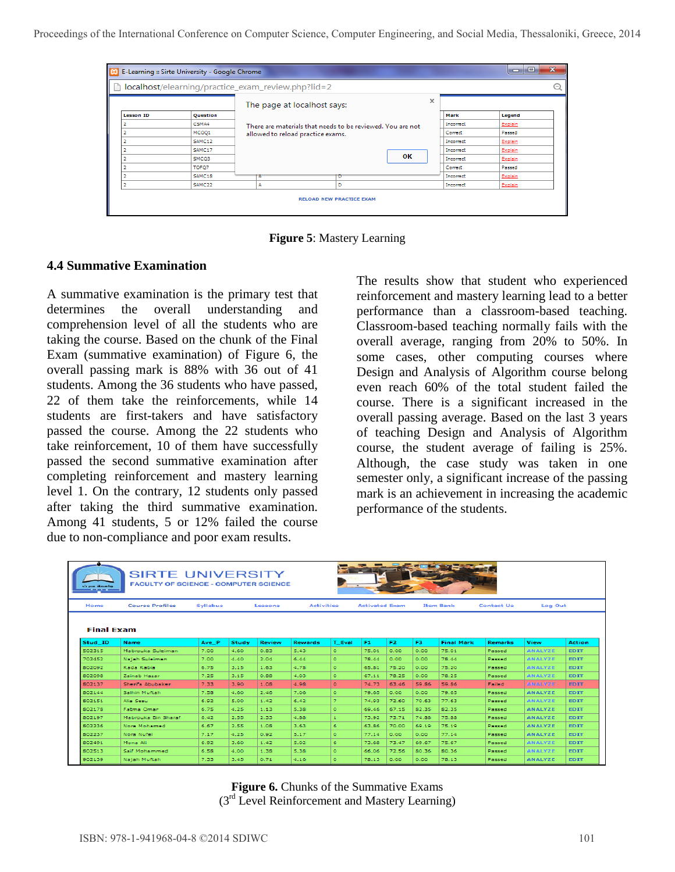Proceedings of the International Conference on Computer Science, Computer Engineering, and Social Media, Thessaloniki, Greece, 2014

| ×<br>$\Box$<br>$\blacksquare$<br>E-Learning :: Sirte University - Google Chrome<br>leal |                                                    |                                                            |                                 |           |          |           |         |   |  |  |  |  |
|-----------------------------------------------------------------------------------------|----------------------------------------------------|------------------------------------------------------------|---------------------------------|-----------|----------|-----------|---------|---|--|--|--|--|
| h                                                                                       | localhost/elearning/practice_exam_review.php?lid=2 |                                                            |                                 |           |          |           |         | E |  |  |  |  |
|                                                                                         |                                                    |                                                            | The page at localhost says:     |           | $\times$ |           |         |   |  |  |  |  |
| <b>Lesson ID</b>                                                                        | Question                                           |                                                            |                                 |           | Mark     | Legend    |         |   |  |  |  |  |
|                                                                                         | CSMA4                                              | There are materials that needs to be reviewed. You are not |                                 |           |          | Incorrect | Explain |   |  |  |  |  |
|                                                                                         | MCOO1                                              | allowed to reload practice exams.                          |                                 |           |          |           |         |   |  |  |  |  |
|                                                                                         | SAMC12                                             |                                                            |                                 | Incorrect | Explain  |           |         |   |  |  |  |  |
|                                                                                         | SAMC17                                             |                                                            |                                 |           |          | Incorrect | Explain |   |  |  |  |  |
|                                                                                         | SMCQ3                                              |                                                            | OK<br>Incorrect                 |           | Explain  |           |         |   |  |  |  |  |
|                                                                                         | TOFO7                                              |                                                            |                                 |           |          | Correct   | Passed  |   |  |  |  |  |
|                                                                                         | SAMC18                                             |                                                            | D                               |           |          | Incorrect | Explain |   |  |  |  |  |
|                                                                                         | SAMC <sub>22</sub>                                 | А                                                          | D                               | Incorrect | Explain  |           |         |   |  |  |  |  |
|                                                                                         |                                                    |                                                            | <b>RELOAD NEW PRACTICE EXAM</b> |           |          |           |         |   |  |  |  |  |

**Figure 5**: Mastery Learning

#### **4.4 Summative Examination**

A summative examination is the primary test that determines the overall understanding and comprehension level of all the students who are taking the course. Based on the chunk of the Final Exam (summative examination) of Figure 6, the overall passing mark is 88% with 36 out of 41 students. Among the 36 students who have passed, 22 of them take the reinforcements, while 14 students are first-takers and have satisfactory passed the course. Among the 22 students who take reinforcement, 10 of them have successfully passed the second summative examination after completing reinforcement and mastery learning level 1. On the contrary, 12 students only passed after taking the third summative examination. Among 41 students, 5 or 12% failed the course due to non-compliance and poor exam results.

The results show that student who experienced reinforcement and mastery learning lead to a better performance than a classroom-based teaching. Classroom-based teaching normally fails with the overall average, ranging from 20% to 50%. In some cases, other computing courses where Design and Analysis of Algorithm course belong even reach 60% of the total student failed the course. There is a significant increased in the overall passing average. Based on the last 3 years of teaching Design and Analysis of Algorithm course, the student average of failing is 25%. Although, the case study was taken in one semester only, a significant increase of the passing mark is an achievement in increasing the academic performance of the students.

| <b>SIRTE UNIVERSITY</b><br><b>FACULTY OF SCIENCE - COMPUTER SCIENCE</b><br><b>Cryse item</b> ty |                                                                                                                                                         |          |      |         |                   |              |                       |       |       |                  |                   |                |             |
|-------------------------------------------------------------------------------------------------|---------------------------------------------------------------------------------------------------------------------------------------------------------|----------|------|---------|-------------------|--------------|-----------------------|-------|-------|------------------|-------------------|----------------|-------------|
| Home                                                                                            | <b>Course Profiles</b>                                                                                                                                  | Syllabus |      | Lessons | <b>Activities</b> |              | <b>Activated Exam</b> |       |       | <b>Item Bank</b> | <b>Contact Us</b> | Log Out        |             |
| Stud ID                                                                                         | <b>Final Exam</b><br>T. Eval<br>F1<br>F2<br>F3.<br><b>Final Mark</b><br>View<br>Ave_P<br>Study<br><b>Review</b><br>Rewards<br>Action<br>Name<br>Remarks |          |      |         |                   |              |                       |       |       |                  |                   |                |             |
| 502315                                                                                          | Mabrouka Suleiman                                                                                                                                       | 7.00     | 4.60 | 0.83    | 5.43              | ۰            | 75.01                 | 0.00  | 0.00  | 75.01            | Passed            | <b>ANALYZE</b> | <b>EDIT</b> |
| 702452                                                                                          | Najah Sulciman                                                                                                                                          | 7.00     | 4.40 | 2.04    | 6.44              | ۰            | 78.44                 | 0.00  | 0.00  | 78.44            | Passed            | <b>ANALYZE</b> | <b>EDIT</b> |
| 802092                                                                                          | Rada Rabia                                                                                                                                              | 6.75     | 3.15 | 1.63    | 4.78              | ۰            | 65.81                 | 75.20 | 0.00  | 75.20            | Passed            | <b>ANALYZE</b> | <b>EDIT</b> |
| 802098                                                                                          | Zainab Hazar                                                                                                                                            | 7.25     | 3.15 | 0.88    | 4.03              | o.           | 67.11                 | 78.25 | 0.00  | 78.25            | Passed            | <b>ANALYZE</b> | <b>EDIT</b> |
| 802137                                                                                          | Sherifa Abubaker                                                                                                                                        | 7.33     | 3.90 | 1.08    | 4.98              | o.           | 74.73                 | 63.46 | 59.86 | 59.86            | Failed            | <b>ANALYZE</b> | <b>EDIT</b> |
| 802144                                                                                          | Salhin Muftah                                                                                                                                           | 7.58     | 4.60 | 2.46    | 7.06              | o.           | 79.65                 | 0.00  | 0.00  | 79.65            | Passed            | <b>ANALYZE</b> | <b>EDIT</b> |
| 802151                                                                                          | Alia Sesu                                                                                                                                               | 6.92     | 5.00 | 1.42    | 6.42              | ÷.           | 74.93                 | 72.60 | 70.63 | 77.63            | Passed            | <b>ANALYZE</b> | <b>EDIT</b> |
| 802178                                                                                          | <b>Fatma Omar</b>                                                                                                                                       | 6.75     | 4.25 | 1.13    | 5.38              | $\bullet$    | 69.46                 | 67.15 | 82.35 | 82.35            | Passed            | <b>ANALYZE</b> | <b>EDIT</b> |
| 802197                                                                                          | Mabrouka Bin Sharaf                                                                                                                                     | 6,42     | 2.55 | 2.33    | 4.88              | $\mathbf{1}$ | 73.92                 | 73.71 | 74.88 | 75.88            | Passed            | <b>ANALYZE</b> | <b>EDIT</b> |
| 802236                                                                                          | Nora Mohamed                                                                                                                                            | 6.67     | 2.55 | 1.08    | 3.63              | 6.           | 63.86                 | 70.00 | 69.19 | 75.19            | Passed            | <b>ANALYZE</b> | <b>EDIT</b> |
| 802237                                                                                          | Nora Notel                                                                                                                                              | 7.17     | 4.25 | 0.92    | 5.17              | ۰            | 77.14                 | 0.00  | 0.00  | 77.14            | Passed            | <b>ANALYZE</b> | <b>EDIT</b> |
| 802491                                                                                          | Mona Ali                                                                                                                                                | 6.92     | 3.60 | 1.42    | 5.02              | 6            | 73.68                 | 73.47 | 69.67 | 75.67            | Passed            | <b>ANALYZE</b> | <b>EDIT</b> |
| 802513                                                                                          | Saif Mohammed                                                                                                                                           | 6.58     | 4.00 | 1.38    | 5.38              | o.           | 66.06                 | 72.56 | 80.36 | 80.36            | Passed            | <b>ANALYZE</b> | <b>EDIT</b> |
| 902139                                                                                          | Najah Multah                                                                                                                                            | 7.33     | 3.45 | 0.71    | 4.16              | ۰            | 78.13                 | 0.00  | 0.00  | 78.13            | Passed            | <b>ANALYZE</b> | <b>EDIT</b> |

**Figure 6.** Chunks of the Summative Exams (3<sup>rd</sup> Level Reinforcement and Mastery Learning)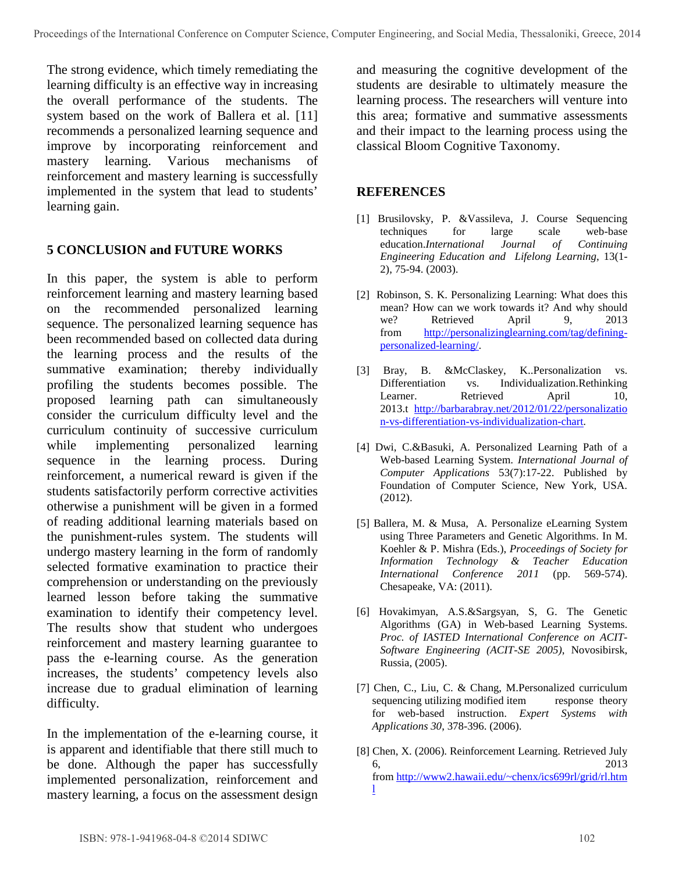The strong evidence, which timely remediating the learning difficulty is an effective way in increasing the overall performance of the students. The system based on the work of Ballera et al. [11] recommends a personalized learning sequence and improve by incorporating reinforcement and mastery learning. Various mechanisms of reinforcement and mastery learning is successfully implemented in the system that lead to students' learning gain.

#### **5 CONCLUSION and FUTURE WORKS**

In this paper, the system is able to perform reinforcement learning and mastery learning based on the recommended personalized learning sequence. The personalized learning sequence has been recommended based on collected data during the learning process and the results of the summative examination; thereby individually profiling the students becomes possible. The proposed learning path can simultaneously consider the curriculum difficulty level and the curriculum continuity of successive curriculum while implementing personalized learning sequence in the learning process. During reinforcement, a numerical reward is given if the students satisfactorily perform corrective activities otherwise a punishment will be given in a formed of reading additional learning materials based on the punishment-rules system. The students will undergo mastery learning in the form of randomly selected formative examination to practice their comprehension or understanding on the previously learned lesson before taking the summative examination to identify their competency level. The results show that student who undergoes reinforcement and mastery learning guarantee to pass the e-learning course. As the generation increases, the students' competency levels also increase due to gradual elimination of learning difficulty.

In the implementation of the e-learning course, it is apparent and identifiable that there still much to be done. Although the paper has successfully implemented personalization, reinforcement and mastery learning, a focus on the assessment design

and measuring the cognitive development of the students are desirable to ultimately measure the learning process. The researchers will venture into this area; formative and summative assessments and their impact to the learning process using the classical Bloom Cognitive Taxonomy.

#### **REFERENCES**

- [1] Brusilovsky, P. &Vassileva, J. Course Sequencing techniques for large scale web-base education.*International Journal of Continuing Engineering Education and Lifelong Learning*, 13(1- 2), 75-94. (2003).
- [2] Robinson, S. K. Personalizing Learning: What does this mean? How can we work towards it? And why should we? Retrieved April 9, 2013 from [http://personalizinglearning.com/tag/defining](http://personalizinglearning.com/tag/defining-personalized-learning/)[personalized-learning/.](http://personalizinglearning.com/tag/defining-personalized-learning/)
- [3] Bray, B. &McClaskey, K..Personalization vs. Differentiation vs. Individualization.Rethinking Learner. Retrieved April 10, 2013.t [http://barbarabray.net/2012/01/22/personalizatio](http://barbarabray.net/2012/01/22/personalization-vs-differentiation-vs-individualization-chart) [n-vs-differentiation-vs-individualization-chart](http://barbarabray.net/2012/01/22/personalization-vs-differentiation-vs-individualization-chart).
- [4] Dwi, C.&Basuki, A. Personalized Learning Path of a Web-based Learning System. *International Journal of Computer Applications* 53(7):17-22. Published by Foundation of Computer Science, New York, USA. (2012).
- [5] Ballera, M. & Musa, A. Personalize eLearning System using Three Parameters and Genetic Algorithms. In M. Koehler & P. Mishra (Eds.), *Proceedings of Society for Information Technology & Teacher Education International Conference 2011* (pp. 569-574). Chesapeake, VA: (2011).
- [6] Hovakimyan, A.S.&Sargsyan, S, G. The Genetic Algorithms (GA) in Web-based Learning Systems. *Proc. of IASTED International Conference on ACIT-Software Engineering (ACIT-SE 2005)*, Novosibirsk, Russia, (2005).
- [7] Chen, C., Liu, C. & Chang, M.Personalized curriculum sequencing utilizing modified item response theory for web-based instruction. *Expert Systems with Applications 30*, 378-396. (2006).
- [8] Chen, X. (2006). Reinforcement Learning. Retrieved July 6, 2013 from [http://www2.hawaii.edu/~chenx/ics699rl/grid/rl.htm](http://www2.hawaii.edu/~chenx/ics699rl/grid/rl.html) [l](http://www2.hawaii.edu/~chenx/ics699rl/grid/rl.html)